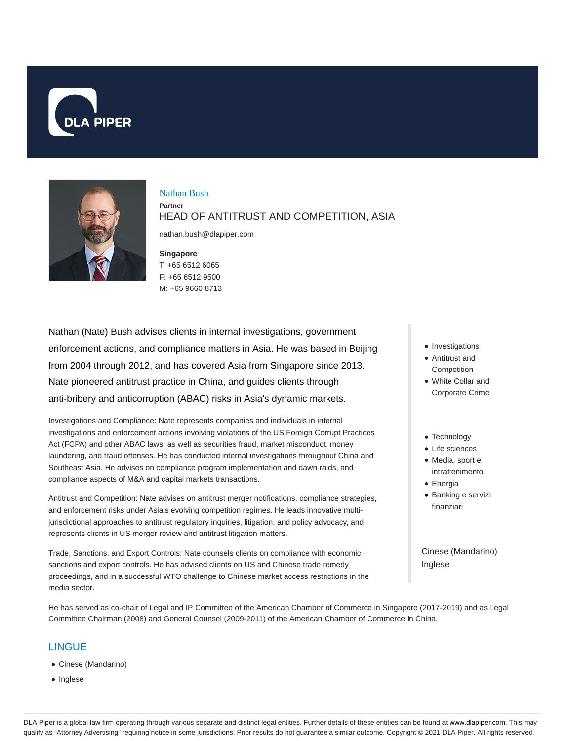



# Nathan Bush

**Partner** HEAD OF ANTITRUST AND COMPETITION, ASIA

nathan.bush@dlapiper.com

#### **Singapore**

## T: +65 6512 6065 F: +65 6512 9500 M: +65 9660 8713

Nathan (Nate) Bush advises clients in internal investigations, government enforcement actions, and compliance matters in Asia. He was based in Beijing from 2004 through 2012, and has covered Asia from Singapore since 2013. Nate pioneered antitrust practice in China, and guides clients through anti-bribery and anticorruption (ABAC) risks in Asia's dynamic markets.

Investigations and Compliance: Nate represents companies and individuals in internal investigations and enforcement actions involving violations of the US Foreign Corrupt Practices Act (FCPA) and other ABAC laws, as well as securities fraud, market misconduct, money laundering, and fraud offenses. He has conducted internal investigations throughout China and Southeast Asia. He advises on compliance program implementation and dawn raids, and compliance aspects of M&A and capital markets transactions.

Antitrust and Competition: Nate advises on antitrust merger notifications, compliance strategies, and enforcement risks under Asia's evolving competition regimes. He leads innovative multijurisdictional approaches to antitrust regulatory inquiries, litigation, and policy advocacy, and represents clients in US merger review and antitrust litigation matters.

Trade, Sanctions, and Export Controls: Nate counsels clients on compliance with economic sanctions and export controls. He has advised clients on US and Chinese trade remedy proceedings, and in a successful WTO challenge to Chinese market access restrictions in the media sector.

He has served as co-chair of Legal and IP Committee of the American Chamber of Commerce in Singapore (2017-2019) and as Legal Committee Chairman (2008) and General Counsel (2009-2011) of the American Chamber of Commerce in China.

# **LINGUE**

- Cinese (Mandarino)
- Inglese
- Investigations
- Antitrust and Competition
- White Collar and Corporate Crime
- Technology
- Life sciences
- Media, sport e intrattenimento
- Energia
- Banking e servizi finanziari

Cinese (Mandarino) Inglese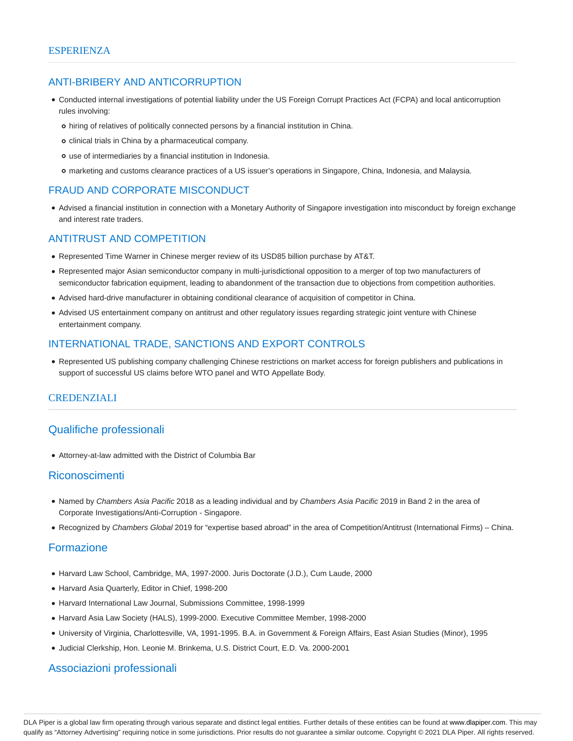# ANTI-BRIBERY AND ANTICORRUPTION

- Conducted internal investigations of potential liability under the US Foreign Corrupt Practices Act (FCPA) and local anticorruption rules involving:
	- hiring of relatives of politically connected persons by a financial institution in China.
	- o clinical trials in China by a pharmaceutical company.
	- use of intermediaries by a financial institution in Indonesia.
	- marketing and customs clearance practices of a US issuer's operations in Singapore, China, Indonesia, and Malaysia.

## FRAUD AND CORPORATE MISCONDUCT

Advised a financial institution in connection with a Monetary Authority of Singapore investigation into misconduct by foreign exchange and interest rate traders.

## ANTITRUST AND COMPETITION

- Represented Time Warner in Chinese merger review of its USD85 billion purchase by AT&T.
- Represented major Asian semiconductor company in multi-jurisdictional opposition to a merger of top two manufacturers of semiconductor fabrication equipment, leading to abandonment of the transaction due to objections from competition authorities.
- Advised hard-drive manufacturer in obtaining conditional clearance of acquisition of competitor in China.
- Advised US entertainment company on antitrust and other regulatory issues regarding strategic joint venture with Chinese entertainment company.

## INTERNATIONAL TRADE, SANCTIONS AND EXPORT CONTROLS

Represented US publishing company challenging Chinese restrictions on market access for foreign publishers and publications in support of successful US claims before WTO panel and WTO Appellate Body.

## **CREDENZIALI**

# Qualifiche professionali

Attorney-at-law admitted with the District of Columbia Bar

## Riconoscimenti

- Named by Chambers Asia Pacific 2018 as a leading individual and by Chambers Asia Pacific 2019 in Band 2 in the area of Corporate Investigations/Anti-Corruption - Singapore.
- Recognized by Chambers Global 2019 for "expertise based abroad" in the area of Competition/Antitrust (International Firms) China.

# Formazione

- Harvard Law School, Cambridge, MA, 1997-2000. Juris Doctorate (J.D.), Cum Laude, 2000
- Harvard Asia Quarterly, Editor in Chief, 1998-200
- Harvard International Law Journal, Submissions Committee, 1998-1999
- Harvard Asia Law Society (HALS), 1999-2000. Executive Committee Member, 1998-2000
- University of Virginia, Charlottesville, VA, 1991-1995. B.A. in Government & Foreign Affairs, East Asian Studies (Minor), 1995
- Judicial Clerkship, Hon. Leonie M. Brinkema, U.S. District Court, E.D. Va. 2000-2001

# Associazioni professionali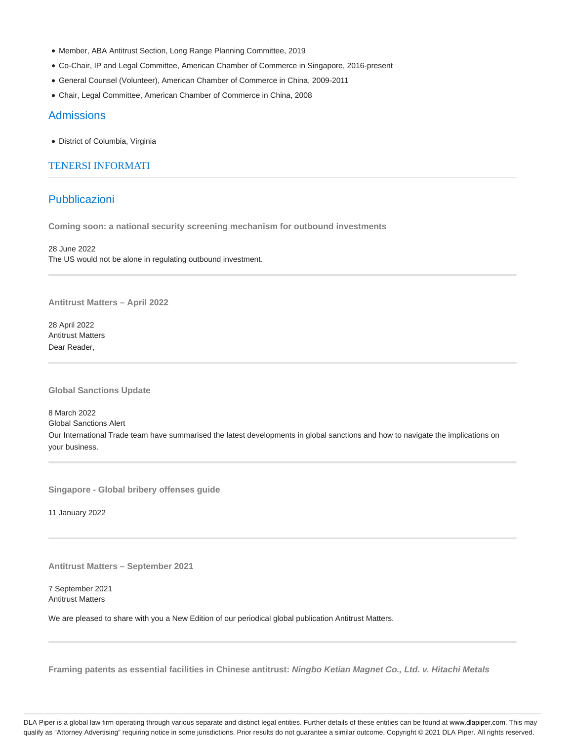- Member, ABA Antitrust Section, Long Range Planning Committee, 2019
- Co-Chair, IP and Legal Committee, American Chamber of Commerce in Singapore, 2016-present
- General Counsel (Volunteer), American Chamber of Commerce in China, 2009-2011
- Chair, Legal Committee, American Chamber of Commerce in China, 2008

### Admissions

District of Columbia, Virginia

## TENERSI INFORMATI

# **Pubblicazioni**

**Coming soon: a national security screening mechanism for outbound investments**

28 June 2022 The US would not be alone in regulating outbound investment.

**Antitrust Matters – April 2022**

28 April 2022 Antitrust Matters Dear Reader,

**Global Sanctions Update**

8 March 2022 Global Sanctions Alert Our International Trade team have summarised the latest developments in global sanctions and how to navigate the implications on your business.

**Singapore - Global bribery offenses guide**

11 January 2022

**Antitrust Matters – September 2021**

7 September 2021 Antitrust Matters

We are pleased to share with you a New Edition of our periodical global publication Antitrust Matters.

**Framing patents as essential facilities in Chinese antitrust: Ningbo Ketian Magnet Co., Ltd. v. Hitachi Metals**

DLA Piper is a global law firm operating through various separate and distinct legal entities. Further details of these entities can be found at www.dlapiper.com. This may qualify as "Attorney Advertising" requiring notice in some jurisdictions. Prior results do not guarantee a similar outcome. Copyright @ 2021 DLA Piper. All rights reserved.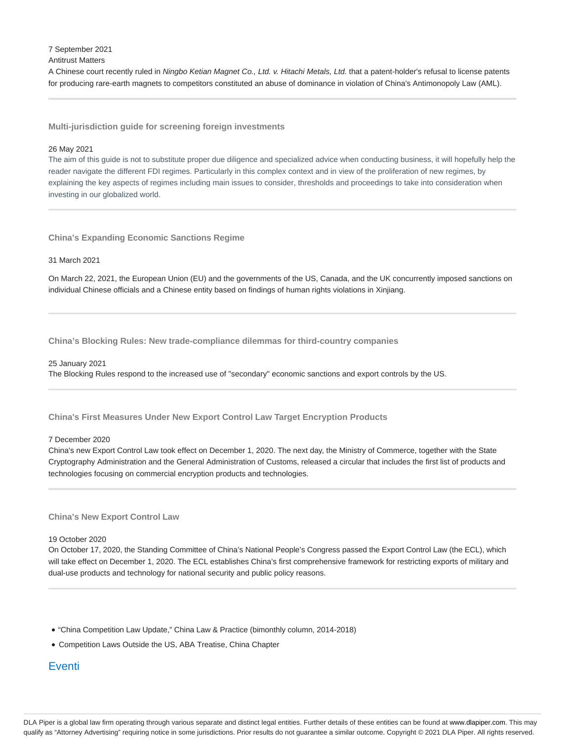7 September 2021

#### Antitrust Matters

A Chinese court recently ruled in Ningbo Ketian Magnet Co., Ltd. v. Hitachi Metals, Ltd. that a patent-holder's refusal to license patents for producing rare-earth magnets to competitors constituted an abuse of dominance in violation of China's Antimonopoly Law (AML).

**Multi-jurisdiction guide for screening foreign investments**

#### 26 May 2021

The aim of this guide is not to substitute proper due diligence and specialized advice when conducting business, it will hopefully help the reader navigate the different FDI regimes. Particularly in this complex context and in view of the proliferation of new regimes, by explaining the key aspects of regimes including main issues to consider, thresholds and proceedings to take into consideration when investing in our globalized world.

**China's Expanding Economic Sanctions Regime**

#### 31 March 2021

On March 22, 2021, the European Union (EU) and the governments of the US, Canada, and the UK concurrently imposed sanctions on individual Chinese officials and a Chinese entity based on findings of human rights violations in Xinjiang.

**China's Blocking Rules: New trade-compliance dilemmas for third-country companies**

#### 25 January 2021

The Blocking Rules respond to the increased use of "secondary" economic sanctions and export controls by the US.

### **China's First Measures Under New Export Control Law Target Encryption Products**

#### 7 December 2020

China's new Export Control Law took effect on December 1, 2020. The next day, the Ministry of Commerce, together with the State Cryptography Administration and the General Administration of Customs, released a circular that includes the first list of products and technologies focusing on commercial encryption products and technologies.

#### **China's New Export Control Law**

#### 19 October 2020

On October 17, 2020, the Standing Committee of China's National People's Congress passed the Export Control Law (the ECL), which will take effect on December 1, 2020. The ECL establishes China's first comprehensive framework for restricting exports of military and dual-use products and technology for national security and public policy reasons.

- "China Competition Law Update," China Law & Practice (bimonthly column, 2014-2018)
- Competition Laws Outside the US, ABA Treatise, China Chapter

# **Eventi**

DLA Piper is a global law firm operating through various separate and distinct legal entities. Further details of these entities can be found at www.dlapiper.com. This may qualify as "Attorney Advertising" requiring notice in some jurisdictions. Prior results do not guarantee a similar outcome. Copyright @ 2021 DLA Piper. All rights reserved.